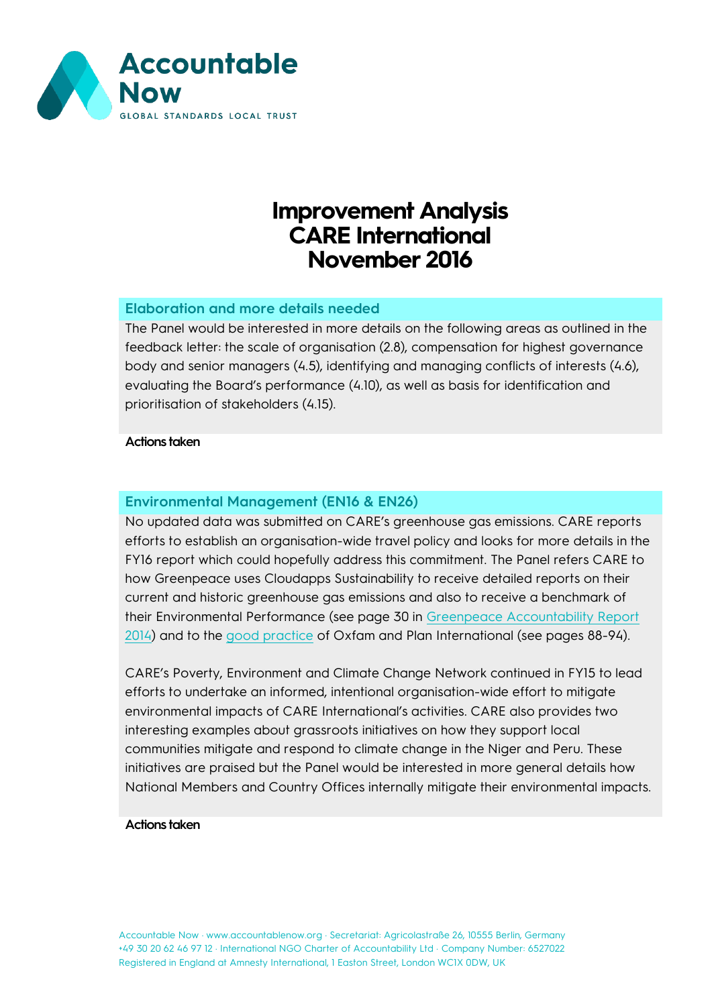

# **Improvement Analysis CARE International November 2016**

# **Elaboration and more details needed**

The Panel would be interested in more details on the following areas as outlined in the feedback letter: the scale of organisation (2.8), compensation for highest governance body and senior managers (4.5), identifying and managing conflicts of interests (4.6), evaluating the Board's performance (4.10), as well as basis for identification and prioritisation of stakeholders (4.15).

#### **Actions taken**

## **Environmental Management (EN16 & EN26)**

No updated data was submitted on CARE's greenhouse gas emissions. CARE reports efforts to establish an organisation-wide travel policy and looks for more details in the FY16 report which could hopefully address this commitment. The Panel refers CARE to how Greenpeace uses Cloudapps Sustainability to receive detailed reports on their current and historic greenhouse gas emissions and also to receive a benchmark of their Environmental Performance (see page 30 in [Greenpeace Accountability Report](http://www.ingoaccountabilitycharter.org/wpcms/wp-content/uploads/Greenpeace_2014_INGO_report_FINAL.pdf)  [2014\)](http://www.ingoaccountabilitycharter.org/wpcms/wp-content/uploads/Greenpeace_2014_INGO_report_FINAL.pdf) and to the [good practice](http://www.ingoaccountabilitycharter.org/wpcms/wp-content/uploads/Good-Practice-April-2016.pdf) of Oxfam and Plan International (see pages 88-94).

CARE's Poverty, Environment and Climate Change Network continued in FY15 to lead efforts to undertake an informed, intentional organisation-wide effort to mitigate environmental impacts of CARE International's activities. CARE also provides two interesting examples about grassroots initiatives on how they support local communities mitigate and respond to climate change in the Niger and Peru. These initiatives are praised but the Panel would be interested in more general details how National Members and Country Offices internally mitigate their environmental impacts.

#### **Actions taken**